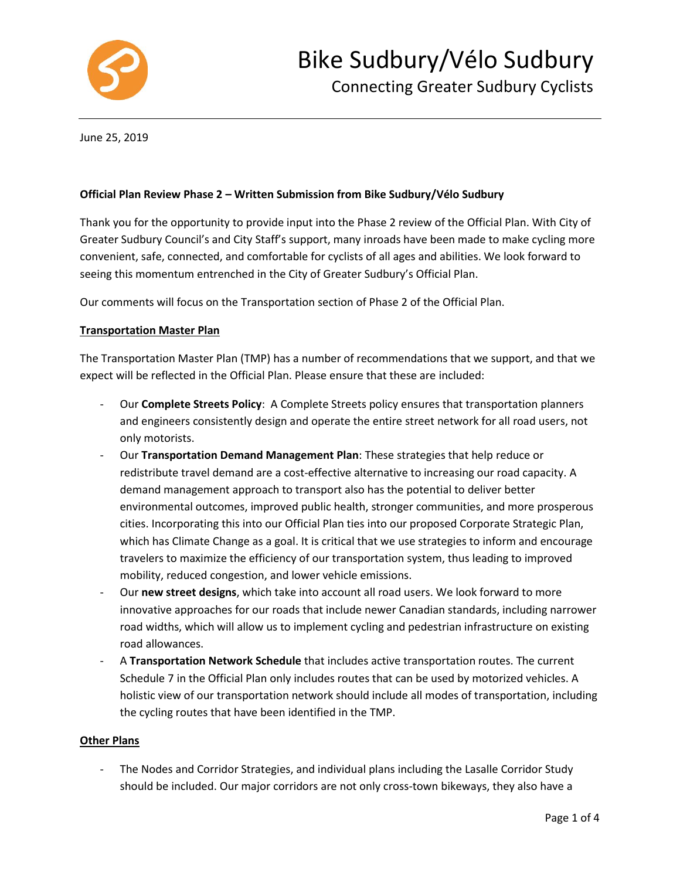

June 25, 2019

### **Official Plan Review Phase 2 – Written Submission from Bike Sudbury/Vélo Sudbury**

Thank you for the opportunity to provide input into the Phase 2 review of the Official Plan. With City of Greater Sudbury Council's and City Staff's support, many inroads have been made to make cycling more convenient, safe, connected, and comfortable for cyclists of all ages and abilities. We look forward to seeing this momentum entrenched in the City of Greater Sudbury's Official Plan.

Our comments will focus on the Transportation section of Phase 2 of the Official Plan.

### **Transportation Master Plan**

The Transportation Master Plan (TMP) has a number of recommendations that we support, and that we expect will be reflected in the Official Plan. Please ensure that these are included:

- Our **Complete Streets Policy**: A Complete Streets policy ensures that transportation planners and engineers consistently design and operate the entire street network for all road users, not only motorists.
- Our **Transportation Demand Management Plan**: These strategies that help reduce or redistribute travel demand are a cost-effective alternative to increasing our road capacity. A demand management approach to transport also has the potential to deliver better environmental outcomes, improved public health, stronger communities, and more prosperous cities. Incorporating this into our Official Plan ties into our proposed Corporate Strategic Plan, which has Climate Change as a goal. It is critical that we use strategies to inform and encourage travelers to maximize the efficiency of our transportation system, thus leading to improved mobility, reduced congestion, and lower vehicle emissions.
- Our **new street designs**, which take into account all road users. We look forward to more innovative approaches for our roads that include newer Canadian standards, including narrower road widths, which will allow us to implement cycling and pedestrian infrastructure on existing road allowances.
- A **Transportation Network Schedule** that includes active transportation routes. The current Schedule 7 in the Official Plan only includes routes that can be used by motorized vehicles. A holistic view of our transportation network should include all modes of transportation, including the cycling routes that have been identified in the TMP.

### **Other Plans**

The Nodes and Corridor Strategies, and individual plans including the Lasalle Corridor Study should be included. Our major corridors are not only cross-town bikeways, they also have a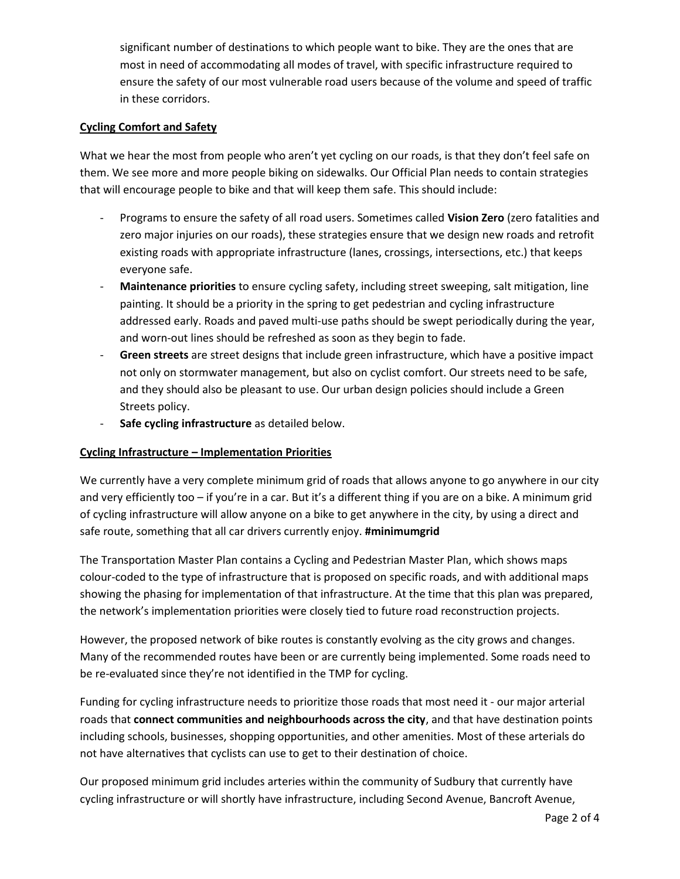significant number of destinations to which people want to bike. They are the ones that are most in need of accommodating all modes of travel, with specific infrastructure required to ensure the safety of our most vulnerable road users because of the volume and speed of traffic in these corridors.

### **Cycling Comfort and Safety**

What we hear the most from people who aren't yet cycling on our roads, is that they don't feel safe on them. We see more and more people biking on sidewalks. Our Official Plan needs to contain strategies that will encourage people to bike and that will keep them safe. This should include:

- Programs to ensure the safety of all road users. Sometimes called **Vision Zero** (zero fatalities and zero major injuries on our roads), these strategies ensure that we design new roads and retrofit existing roads with appropriate infrastructure (lanes, crossings, intersections, etc.) that keeps everyone safe.
- **Maintenance priorities** to ensure cycling safety, including street sweeping, salt mitigation, line painting. It should be a priority in the spring to get pedestrian and cycling infrastructure addressed early. Roads and paved multi-use paths should be swept periodically during the year, and worn-out lines should be refreshed as soon as they begin to fade.
- **Green streets** are street designs that include green infrastructure, which have a positive impact not only on stormwater management, but also on cyclist comfort. Our streets need to be safe, and they should also be pleasant to use. Our urban design policies should include a Green Streets policy.
- **Safe cycling infrastructure** as detailed below.

# **Cycling Infrastructure – Implementation Priorities**

We currently have a very complete minimum grid of roads that allows anyone to go anywhere in our city and very efficiently too – if you're in a car. But it's a different thing if you are on a bike. A minimum grid of cycling infrastructure will allow anyone on a bike to get anywhere in the city, by using a direct and safe route, something that all car drivers currently enjoy. **#minimumgrid**

The Transportation Master Plan contains a Cycling and Pedestrian Master Plan, which shows maps colour-coded to the type of infrastructure that is proposed on specific roads, and with additional maps showing the phasing for implementation of that infrastructure. At the time that this plan was prepared, the network's implementation priorities were closely tied to future road reconstruction projects.

However, the proposed network of bike routes is constantly evolving as the city grows and changes. Many of the recommended routes have been or are currently being implemented. Some roads need to be re-evaluated since they're not identified in the TMP for cycling.

Funding for cycling infrastructure needs to prioritize those roads that most need it - our major arterial roads that **connect communities and neighbourhoods across the city**, and that have destination points including schools, businesses, shopping opportunities, and other amenities. Most of these arterials do not have alternatives that cyclists can use to get to their destination of choice.

Our proposed minimum grid includes arteries within the community of Sudbury that currently have cycling infrastructure or will shortly have infrastructure, including Second Avenue, Bancroft Avenue,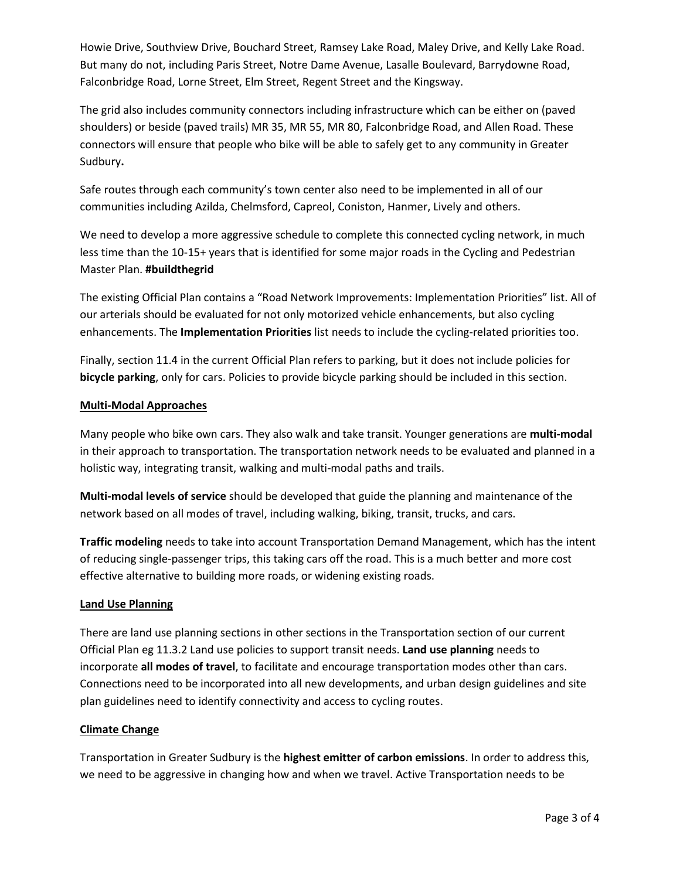Howie Drive, Southview Drive, Bouchard Street, Ramsey Lake Road, Maley Drive, and Kelly Lake Road. But many do not, including Paris Street, Notre Dame Avenue, Lasalle Boulevard, Barrydowne Road, Falconbridge Road, Lorne Street, Elm Street, Regent Street and the Kingsway.

The grid also includes community connectors including infrastructure which can be either on (paved shoulders) or beside (paved trails) MR 35, MR 55, MR 80, Falconbridge Road, and Allen Road. These connectors will ensure that people who bike will be able to safely get to any community in Greater Sudbury**.**

Safe routes through each community's town center also need to be implemented in all of our communities including Azilda, Chelmsford, Capreol, Coniston, Hanmer, Lively and others.

We need to develop a more aggressive schedule to complete this connected cycling network, in much less time than the 10-15+ years that is identified for some major roads in the Cycling and Pedestrian Master Plan. **#buildthegrid**

The existing Official Plan contains a "Road Network Improvements: Implementation Priorities" list. All of our arterials should be evaluated for not only motorized vehicle enhancements, but also cycling enhancements. The **Implementation Priorities** list needs to include the cycling-related priorities too.

Finally, section 11.4 in the current Official Plan refers to parking, but it does not include policies for **bicycle parking**, only for cars. Policies to provide bicycle parking should be included in this section.

## **Multi-Modal Approaches**

Many people who bike own cars. They also walk and take transit. Younger generations are **multi-modal** in their approach to transportation. The transportation network needs to be evaluated and planned in a holistic way, integrating transit, walking and multi-modal paths and trails.

**Multi-modal levels of service** should be developed that guide the planning and maintenance of the network based on all modes of travel, including walking, biking, transit, trucks, and cars.

**Traffic modeling** needs to take into account Transportation Demand Management, which has the intent of reducing single-passenger trips, this taking cars off the road. This is a much better and more cost effective alternative to building more roads, or widening existing roads.

### **Land Use Planning**

There are land use planning sections in other sections in the Transportation section of our current Official Plan eg 11.3.2 Land use policies to support transit needs. **Land use planning** needs to incorporate **all modes of travel**, to facilitate and encourage transportation modes other than cars. Connections need to be incorporated into all new developments, and urban design guidelines and site plan guidelines need to identify connectivity and access to cycling routes.

### **Climate Change**

Transportation in Greater Sudbury is the **highest emitter of carbon emissions**. In order to address this, we need to be aggressive in changing how and when we travel. Active Transportation needs to be